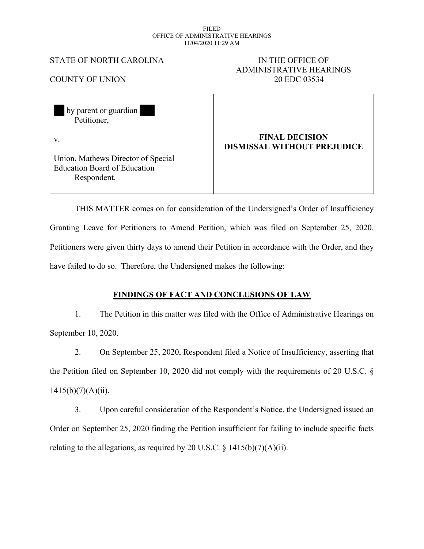#### FILED OFFICE OF ADMINISTRATIVE HEARINGS 11/04/2020 11:29 AM

# STATE OF NORTH CAROLINA IN THE OFFICE OF

# ADMINISTRATIVE HEARINGS COUNTY OF UNION 20 EDC 03534

| by parent or guardian<br>Petitioner,                                                     |                                                             |
|------------------------------------------------------------------------------------------|-------------------------------------------------------------|
| $V_{\cdot}$                                                                              | <b>FINAL DECISION</b><br><b>DISMISSAL WITHOUT PREJUDICE</b> |
| Union, Mathews Director of Special<br><b>Education Board of Education</b><br>Respondent. |                                                             |

THIS MATTER comes on for consideration of the Undersigned's Order of Insufficiency Granting Leave for Petitioners to Amend Petition, which was filed on September 25, 2020. Petitioners were given thirty days to amend their Petition in accordance with the Order, and they have failed to do so. Therefore, the Undersigned makes the following:

# **FINDINGS OF FACT AND CONCLUSIONS OF LAW**

1. The Petition in this matter was filed with the Office of Administrative Hearings on September 10, 2020.

2. On September 25, 2020, Respondent filed a Notice of Insufficiency, asserting that the Petition filed on September 10, 2020 did not comply with the requirements of 20 U.S.C. §  $1415(b)(7)(A)(ii)$ .

3. Upon careful consideration of the Respondent's Notice, the Undersigned issued an Order on September 25, 2020 finding the Petition insufficient for failing to include specific facts relating to the allegations, as required by 20 U.S.C.  $\S$  1415(b)(7)(A)(ii).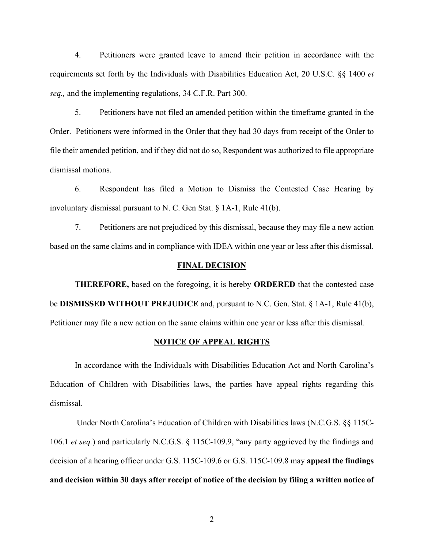4. Petitioners were granted leave to amend their petition in accordance with the requirements set forth by the Individuals with Disabilities Education Act, 20 U.S.C. §§ 1400 *et seq.,* and the implementing regulations, 34 C.F.R. Part 300.

5. Petitioners have not filed an amended petition within the timeframe granted in the Order. Petitioners were informed in the Order that they had 30 days from receipt of the Order to file their amended petition, and if they did not do so, Respondent was authorized to file appropriate dismissal motions.

6. Respondent has filed a Motion to Dismiss the Contested Case Hearing by involuntary dismissal pursuant to N. C. Gen Stat. § 1A-1, Rule 41(b).

7. Petitioners are not prejudiced by this dismissal, because they may file a new action based on the same claims and in compliance with IDEA within one year or less after this dismissal.

#### **FINAL DECISION**

**THEREFORE,** based on the foregoing, it is hereby **ORDERED** that the contested case be **DISMISSED WITHOUT PREJUDICE** and, pursuant to N.C. Gen. Stat. § 1A-1, Rule 41(b), Petitioner may file a new action on the same claims within one year or less after this dismissal.

### **NOTICE OF APPEAL RIGHTS**

In accordance with the Individuals with Disabilities Education Act and North Carolina's Education of Children with Disabilities laws, the parties have appeal rights regarding this dismissal.

Under North Carolina's Education of Children with Disabilities laws (N.C.G.S. §§ 115C-106.1 *et seq.*) and particularly N.C.G.S. § 115C-109.9, "any party aggrieved by the findings and decision of a hearing officer under G.S. 115C-109.6 or G.S. 115C-109.8 may **appeal the findings and decision within 30 days after receipt of notice of the decision by filing a written notice of**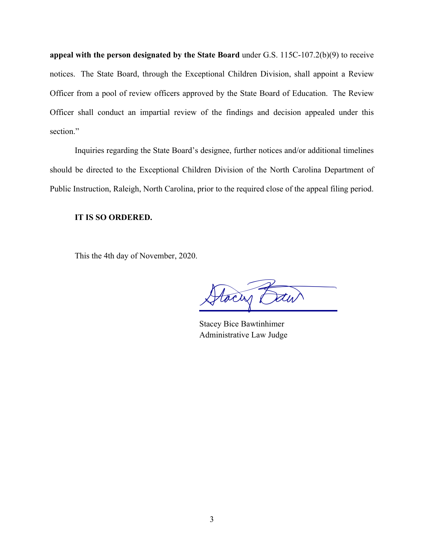**appeal with the person designated by the State Board** under G.S. 115C-107.2(b)(9) to receive notices. The State Board, through the Exceptional Children Division, shall appoint a Review Officer from a pool of review officers approved by the State Board of Education. The Review Officer shall conduct an impartial review of the findings and decision appealed under this section."

Inquiries regarding the State Board's designee, further notices and/or additional timelines should be directed to the Exceptional Children Division of the North Carolina Department of Public Instruction, Raleigh, North Carolina, prior to the required close of the appeal filing period.

## **IT IS SO ORDERED.**

This the 4th day of November, 2020.

Stacy Baw

Stacey Bice Bawtinhimer Administrative Law Judge